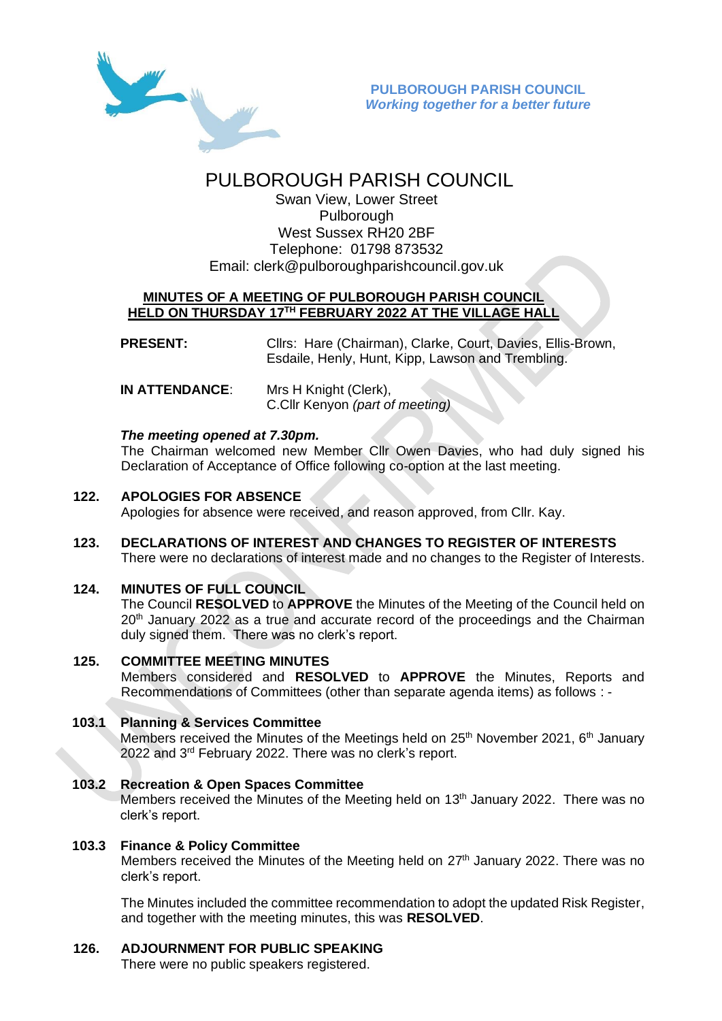

# PULBOROUGH PARISH COUNCIL

Swan View, Lower Street Pulborough West Sussex RH20 2BF Telephone: 01798 873532 Email: [clerk@pulboroughparishcouncil.gov.uk](mailto:clerk@pulboroughparishcouncil.gov.uk)

## **MINUTES OF A MEETING OF PULBOROUGH PARISH COUNCIL HELD ON THURSDAY 17TH FEBRUARY 2022 AT THE VILLAGE HALL**

**PRESENT:** Cllrs: Hare (Chairman), Clarke, Court, Davies, Ellis-Brown, Esdaile, Henly, Hunt, Kipp, Lawson and Trembling.

**IN ATTENDANCE**: Mrs H Knight (Clerk), C.Cllr Kenyon *(part of meeting)*

## *The meeting opened at 7.30pm.*

The Chairman welcomed new Member Cllr Owen Davies, who had duly signed his Declaration of Acceptance of Office following co-option at the last meeting.

## **122. APOLOGIES FOR ABSENCE**

Apologies for absence were received, and reason approved, from Cllr. Kay.

**123. DECLARATIONS OF INTEREST AND CHANGES TO REGISTER OF INTERESTS** There were no declarations of interest made and no changes to the Register of Interests.

## **124. MINUTES OF FULL COUNCIL**

The Council **RESOLVED** to **APPROVE** the Minutes of the Meeting of the Council held on  $20<sup>th</sup>$  January 2022 as a true and accurate record of the proceedings and the Chairman duly signed them. There was no clerk's report.

## **125. COMMITTEE MEETING MINUTES**

Members considered and **RESOLVED** to **APPROVE** the Minutes, Reports and Recommendations of Committees (other than separate agenda items) as follows : -

## **103.1 Planning & Services Committee**

Members received the Minutes of the Meetings held on  $25<sup>th</sup>$  November 2021,  $6<sup>th</sup>$  January 2022 and 3rd February 2022. There was no clerk's report.

## **103.2 Recreation & Open Spaces Committee**

Members received the Minutes of the Meeting held on 13<sup>th</sup> January 2022. There was no clerk's report.

## **103.3 Finance & Policy Committee**

Members received the Minutes of the Meeting held on 27<sup>th</sup> January 2022. There was no clerk's report.

The Minutes included the committee recommendation to adopt the updated Risk Register, and together with the meeting minutes, this was **RESOLVED**.

## **126. ADJOURNMENT FOR PUBLIC SPEAKING**

There were no public speakers registered.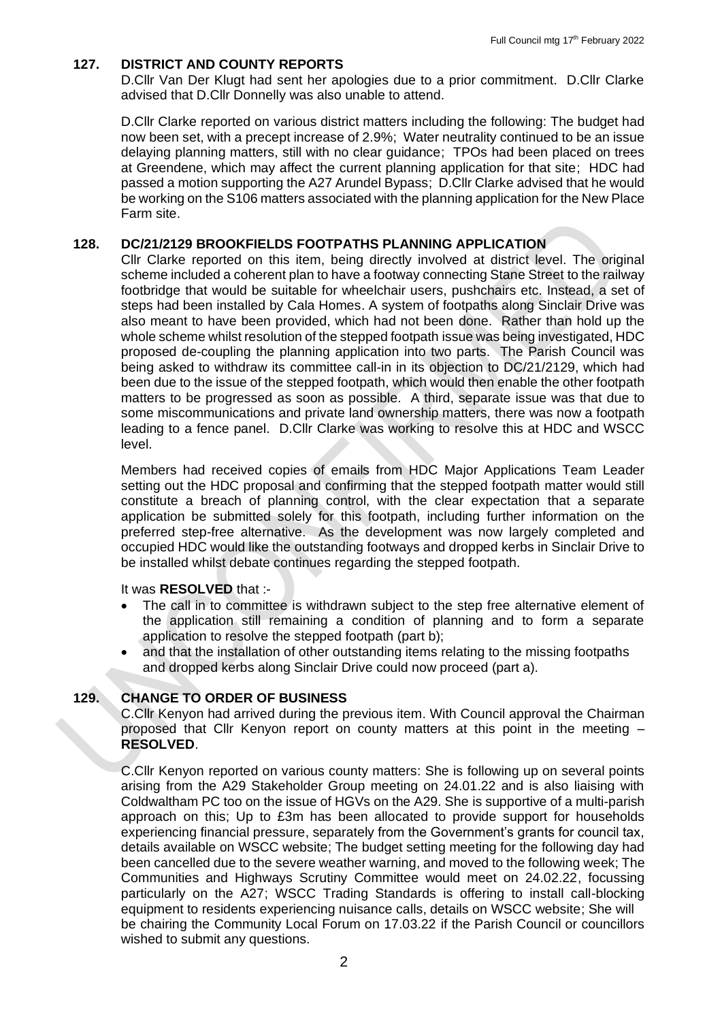### **127. DISTRICT AND COUNTY REPORTS**

D.Cllr Van Der Klugt had sent her apologies due to a prior commitment. D.Cllr Clarke advised that D.Cllr Donnelly was also unable to attend.

D.Cllr Clarke reported on various district matters including the following: The budget had now been set, with a precept increase of 2.9%; Water neutrality continued to be an issue delaying planning matters, still with no clear guidance; TPOs had been placed on trees at Greendene, which may affect the current planning application for that site; HDC had passed a motion supporting the A27 Arundel Bypass; D.Cllr Clarke advised that he would be working on the S106 matters associated with the planning application for the New Place Farm site.

#### **128. DC/21/2129 BROOKFIELDS FOOTPATHS PLANNING APPLICATION**

Cllr Clarke reported on this item, being directly involved at district level. The original scheme included a coherent plan to have a footway connecting Stane Street to the railway footbridge that would be suitable for wheelchair users, pushchairs etc. Instead, a set of steps had been installed by Cala Homes. A system of footpaths along Sinclair Drive was also meant to have been provided, which had not been done. Rather than hold up the whole scheme whilst resolution of the stepped footpath issue was being investigated, HDC proposed de-coupling the planning application into two parts. The Parish Council was being asked to withdraw its committee call-in in its objection to DC/21/2129, which had been due to the issue of the stepped footpath, which would then enable the other footpath matters to be progressed as soon as possible. A third, separate issue was that due to some miscommunications and private land ownership matters, there was now a footpath leading to a fence panel. D.Cllr Clarke was working to resolve this at HDC and WSCC level.

Members had received copies of emails from HDC Major Applications Team Leader setting out the HDC proposal and confirming that the stepped footpath matter would still constitute a breach of planning control, with the clear expectation that a separate application be submitted solely for this footpath, including further information on the preferred step-free alternative. As the development was now largely completed and occupied HDC would like the outstanding footways and dropped kerbs in Sinclair Drive to be installed whilst debate continues regarding the stepped footpath.

#### It was **RESOLVED** that :-

- The call in to committee is withdrawn subject to the step free alternative element of the application still remaining a condition of planning and to form a separate application to resolve the stepped footpath (part b);
- and that the installation of other outstanding items relating to the missing footpaths and dropped kerbs along Sinclair Drive could now proceed (part a).

## **129. CHANGE TO ORDER OF BUSINESS**

C.Cllr Kenyon had arrived during the previous item. With Council approval the Chairman proposed that Cllr Kenyon report on county matters at this point in the meeting – **RESOLVED**.

C.Cllr Kenyon reported on various county matters: She is following up on several points arising from the A29 Stakeholder Group meeting on 24.01.22 and is also liaising with Coldwaltham PC too on the issue of HGVs on the A29. She is supportive of a multi-parish approach on this; Up to £3m has been allocated to provide support for households experiencing financial pressure, separately from the Government's grants for council tax, details available on WSCC website; The budget setting meeting for the following day had been cancelled due to the severe weather warning, and moved to the following week; The Communities and Highways Scrutiny Committee would meet on 24.02.22, focussing particularly on the A27; WSCC Trading Standards is offering to install call-blocking equipment to residents experiencing nuisance calls, details on WSCC website; She will be chairing the Community Local Forum on 17.03.22 if the Parish Council or councillors wished to submit any questions.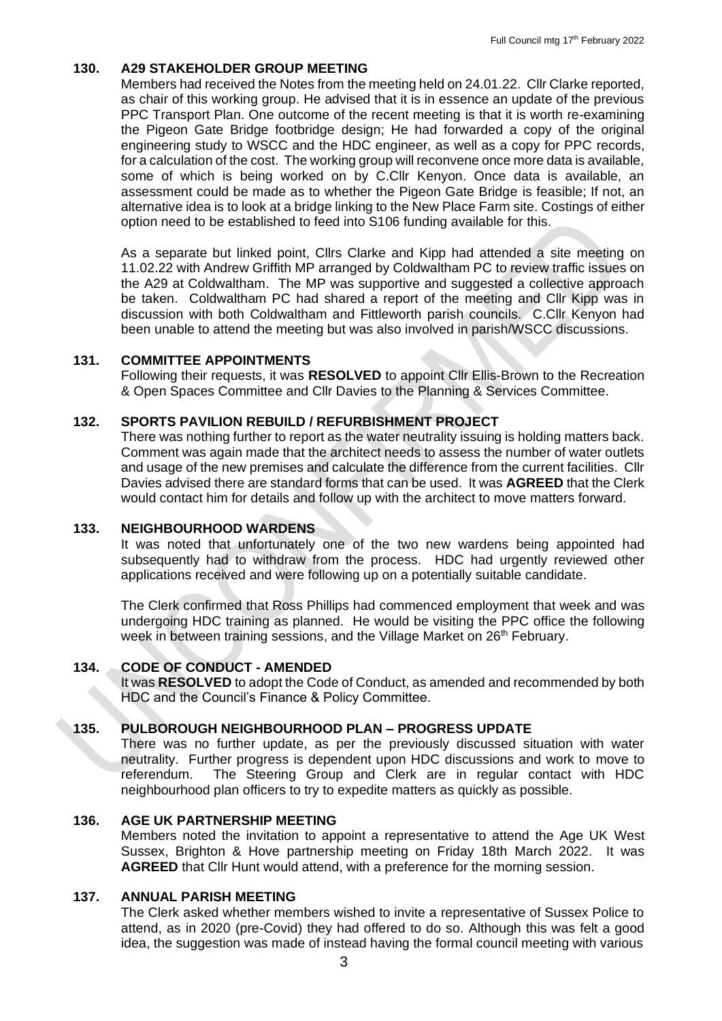#### **130. A29 STAKEHOLDER GROUP MEETING**

Members had received the Notes from the meeting held on 24.01.22. Cllr Clarke reported, as chair of this working group. He advised that it is in essence an update of the previous PPC Transport Plan. One outcome of the recent meeting is that it is worth re-examining the Pigeon Gate Bridge footbridge design; He had forwarded a copy of the original engineering study to WSCC and the HDC engineer, as well as a copy for PPC records, for a calculation of the cost. The working group will reconvene once more data is available, some of which is being worked on by C.Cllr Kenyon. Once data is available, an assessment could be made as to whether the Pigeon Gate Bridge is feasible; If not, an alternative idea is to look at a bridge linking to the New Place Farm site. Costings of either option need to be established to feed into S106 funding available for this.

As a separate but linked point, Cllrs Clarke and Kipp had attended a site meeting on 11.02.22 with Andrew Griffith MP arranged by Coldwaltham PC to review traffic issues on the A29 at Coldwaltham. The MP was supportive and suggested a collective approach be taken. Coldwaltham PC had shared a report of the meeting and Cllr Kipp was in discussion with both Coldwaltham and Fittleworth parish councils. C.Cllr Kenyon had been unable to attend the meeting but was also involved in parish/WSCC discussions.

#### **131. COMMITTEE APPOINTMENTS**

Following their requests, it was **RESOLVED** to appoint Cllr Ellis-Brown to the Recreation & Open Spaces Committee and Cllr Davies to the Planning & Services Committee.

#### **132. SPORTS PAVILION REBUILD / REFURBISHMENT PROJECT**

There was nothing further to report as the water neutrality issuing is holding matters back. Comment was again made that the architect needs to assess the number of water outlets and usage of the new premises and calculate the difference from the current facilities. Cllr Davies advised there are standard forms that can be used. It was **AGREED** that the Clerk would contact him for details and follow up with the architect to move matters forward.

#### **133. NEIGHBOURHOOD WARDENS**

It was noted that unfortunately one of the two new wardens being appointed had subsequently had to withdraw from the process. HDC had urgently reviewed other applications received and were following up on a potentially suitable candidate.

The Clerk confirmed that Ross Phillips had commenced employment that week and was undergoing HDC training as planned. He would be visiting the PPC office the following week in between training sessions, and the Village Market on 26<sup>th</sup> February.

#### **134. CODE OF CONDUCT - AMENDED**

It was **RESOLVED** to adopt the Code of Conduct, as amended and recommended by both HDC and the Council's Finance & Policy Committee.

#### **135. PULBOROUGH NEIGHBOURHOOD PLAN – PROGRESS UPDATE**

There was no further update, as per the previously discussed situation with water neutrality. Further progress is dependent upon HDC discussions and work to move to referendum. The Steering Group and Clerk are in regular contact with HDC neighbourhood plan officers to try to expedite matters as quickly as possible.

#### **136. AGE UK PARTNERSHIP MEETING**

Members noted the invitation to appoint a representative to attend the Age UK West Sussex, Brighton & Hove partnership meeting on Friday 18th March 2022. It was **AGREED** that Cllr Hunt would attend, with a preference for the morning session.

#### **137. ANNUAL PARISH MEETING**

The Clerk asked whether members wished to invite a representative of Sussex Police to attend, as in 2020 (pre-Covid) they had offered to do so. Although this was felt a good idea, the suggestion was made of instead having the formal council meeting with various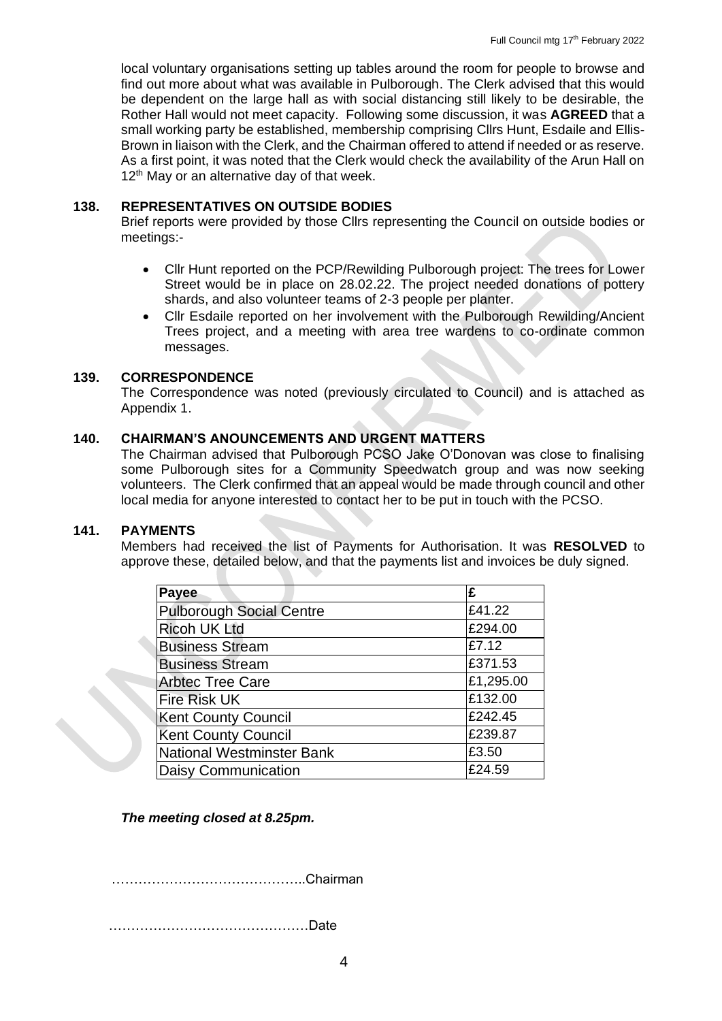local voluntary organisations setting up tables around the room for people to browse and find out more about what was available in Pulborough. The Clerk advised that this would be dependent on the large hall as with social distancing still likely to be desirable, the Rother Hall would not meet capacity. Following some discussion, it was **AGREED** that a small working party be established, membership comprising Cllrs Hunt, Esdaile and Ellis-Brown in liaison with the Clerk, and the Chairman offered to attend if needed or as reserve. As a first point, it was noted that the Clerk would check the availability of the Arun Hall on 12<sup>th</sup> May or an alternative day of that week.

## **138. REPRESENTATIVES ON OUTSIDE BODIES**

Brief reports were provided by those Cllrs representing the Council on outside bodies or meetings:-

- Cllr Hunt reported on the PCP/Rewilding Pulborough project: The trees for Lower Street would be in place on 28.02.22. The project needed donations of pottery shards, and also volunteer teams of 2-3 people per planter.
- Cllr Esdaile reported on her involvement with the Pulborough Rewilding/Ancient Trees project, and a meeting with area tree wardens to co-ordinate common messages.

### **139. CORRESPONDENCE**

The Correspondence was noted (previously circulated to Council) and is attached as Appendix 1.

## **140. CHAIRMAN'S ANOUNCEMENTS AND URGENT MATTERS**

The Chairman advised that Pulborough PCSO Jake O'Donovan was close to finalising some Pulborough sites for a Community Speedwatch group and was now seeking volunteers. The Clerk confirmed that an appeal would be made through council and other local media for anyone interested to contact her to be put in touch with the PCSO.

#### **141. PAYMENTS**

Members had received the list of Payments for Authorisation. It was **RESOLVED** to approve these, detailed below, and that the payments list and invoices be duly signed.

| Payee                            | £         |
|----------------------------------|-----------|
| <b>Pulborough Social Centre</b>  | £41.22    |
| <b>Ricoh UK Ltd</b>              | £294.00   |
| <b>Business Stream</b>           | £7.12     |
| <b>Business Stream</b>           | £371.53   |
| <b>Arbtec Tree Care</b>          | £1,295.00 |
| <b>Fire Risk UK</b>              | £132.00   |
| <b>Kent County Council</b>       | £242.45   |
| <b>Kent County Council</b>       | £239.87   |
| <b>National Westminster Bank</b> | £3.50     |
| <b>Daisy Communication</b>       | £24.59    |

*The meeting closed at 8.25pm.*

……………………………………..Chairman

………………………………………Date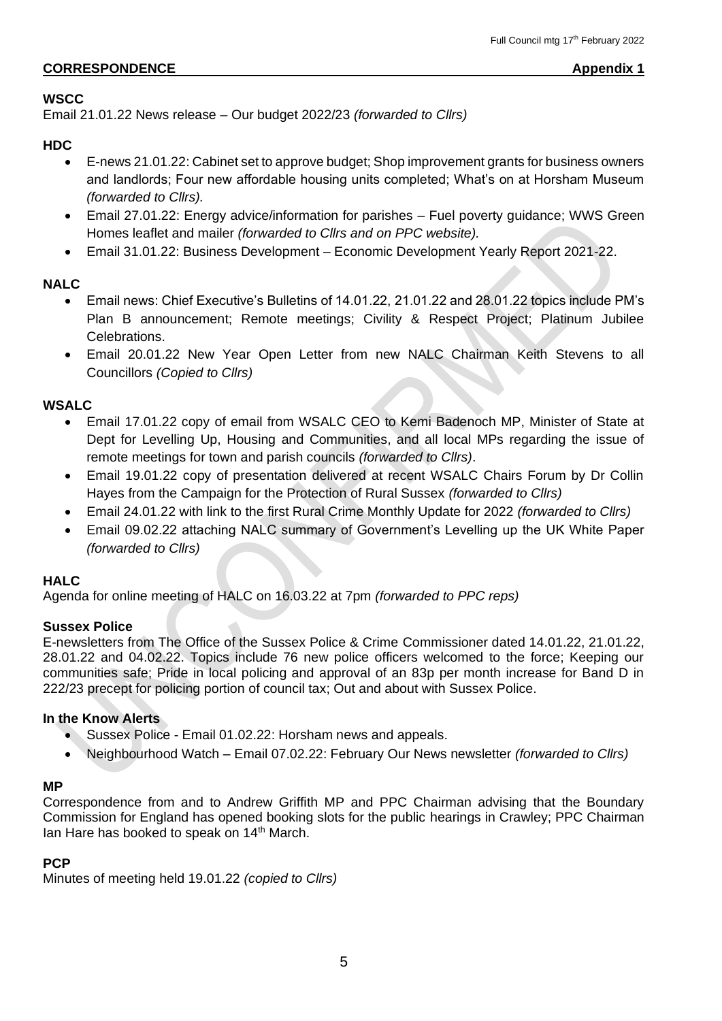## **CORRESPONDENCE** Appendix 1

## **WSCC**

Email 21.01.22 News release – Our budget 2022/23 *(forwarded to Cllrs)*

## **HDC**

- E-news 21.01.22: Cabinet set to approve budget; Shop improvement grants for business owners and landlords; Four new affordable housing units completed; What's on at Horsham Museum *(forwarded to Cllrs).*
- Email 27.01.22: Energy advice/information for parishes Fuel poverty guidance; WWS Green Homes leaflet and mailer *(forwarded to Cllrs and on PPC website).*
- Email 31.01.22: Business Development Economic Development Yearly Report 2021-22.

## **NALC**

- Email news: Chief Executive's Bulletins of 14.01.22, 21.01.22 and 28.01.22 topics include PM's Plan B announcement; Remote meetings; Civility & Respect Project; Platinum Jubilee Celebrations.
- Email 20.01.22 New Year Open Letter from new NALC Chairman Keith Stevens to all Councillors *(Copied to Cllrs)*

## **WSALC**

- Email 17.01.22 copy of email from WSALC CEO to Kemi Badenoch MP, Minister of State at Dept for Levelling Up, Housing and Communities, and all local MPs regarding the issue of remote meetings for town and parish councils *(forwarded to Cllrs)*.
- Email 19.01.22 copy of presentation delivered at recent WSALC Chairs Forum by Dr Collin Hayes from the Campaign for the Protection of Rural Sussex *(forwarded to Cllrs)*
- Email 24.01.22 with link to the first Rural Crime Monthly Update for 2022 *(forwarded to Cllrs)*
- Email 09.02.22 attaching NALC summary of Government's Levelling up the UK White Paper *(forwarded to Cllrs)*

## **HALC**

Agenda for online meeting of HALC on 16.03.22 at 7pm *(forwarded to PPC reps)*

## **Sussex Police**

E-newsletters from The Office of the Sussex Police & Crime Commissioner dated 14.01.22, 21.01.22, 28.01.22 and 04.02.22. Topics include 76 new police officers welcomed to the force; Keeping our communities safe; Pride in local policing and approval of an 83p per month increase for Band D in 222/23 precept for policing portion of council tax; Out and about with Sussex Police.

## **In the Know Alerts**

- Sussex Police Email 01.02.22: Horsham news and appeals.
- Neighbourhood Watch Email 07.02.22: February Our News newsletter *(forwarded to Cllrs)*

# **MP**

Correspondence from and to Andrew Griffith MP and PPC Chairman advising that the Boundary Commission for England has opened booking slots for the public hearings in Crawley; PPC Chairman lan Hare has booked to speak on 14<sup>th</sup> March.

## **PCP**

Minutes of meeting held 19.01.22 *(copied to Cllrs)*